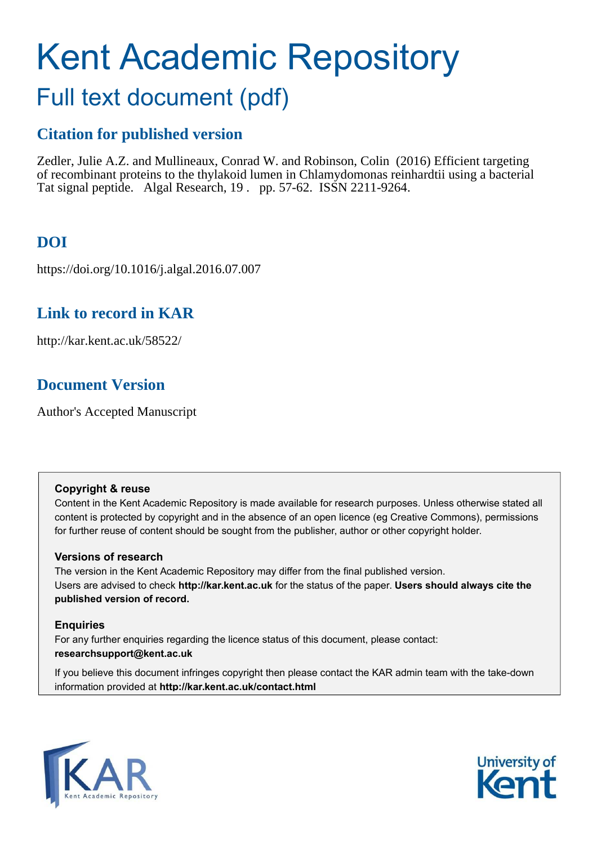# Kent Academic Repository

# Full text document (pdf)

## **Citation for published version**

Zedler, Julie A.Z. and Mullineaux, Conrad W. and Robinson, Colin (2016) Efficient targeting of recombinant proteins to the thylakoid lumen in Chlamydomonas reinhardtii using a bacterial Tat signal peptide. Algal Research, 19 . pp. 57-62. ISSN 2211-9264.

# **DOI**

https://doi.org/10.1016/j.algal.2016.07.007

## **Link to record in KAR**

http://kar.kent.ac.uk/58522/

## **Document Version**

Author's Accepted Manuscript

#### **Copyright & reuse**

Content in the Kent Academic Repository is made available for research purposes. Unless otherwise stated all content is protected by copyright and in the absence of an open licence (eg Creative Commons), permissions for further reuse of content should be sought from the publisher, author or other copyright holder.

#### **Versions of research**

The version in the Kent Academic Repository may differ from the final published version. Users are advised to check **http://kar.kent.ac.uk** for the status of the paper. **Users should always cite the published version of record.**

#### **Enquiries**

For any further enquiries regarding the licence status of this document, please contact: **researchsupport@kent.ac.uk**

If you believe this document infringes copyright then please contact the KAR admin team with the take-down information provided at **http://kar.kent.ac.uk/contact.html**



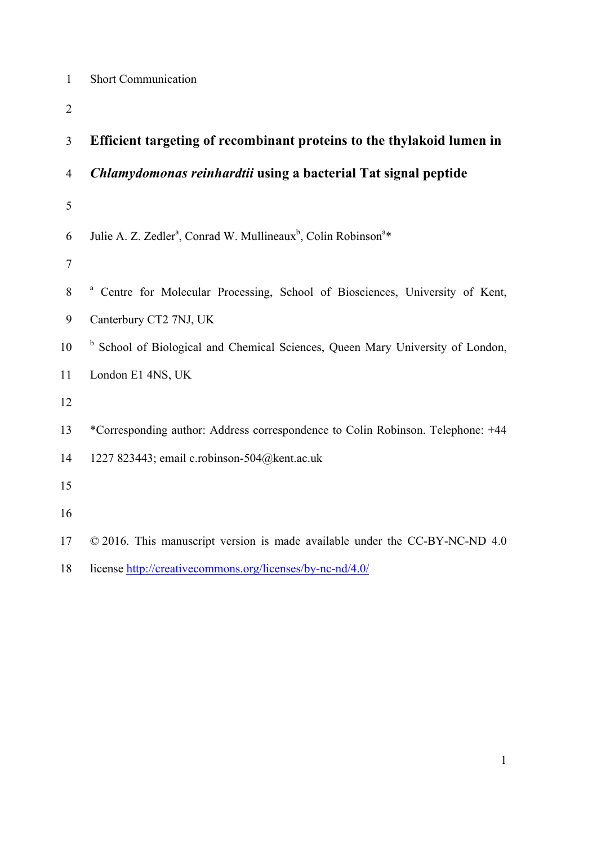|  | <b>Short Communication</b> |  |
|--|----------------------------|--|
|  |                            |  |

| 3              | Efficient targeting of recombinant proteins to the thylakoid lumen in                              |
|----------------|----------------------------------------------------------------------------------------------------|
| $\overline{4}$ | Chlamydomonas reinhardtii using a bacterial Tat signal peptide                                     |
| 5              |                                                                                                    |
| 6              | Julie A. Z. Zedler <sup>a</sup> , Conrad W. Mullineaux <sup>b</sup> , Colin Robinson <sup>a*</sup> |
| $\tau$         |                                                                                                    |
| 8              | <sup>a</sup> Centre for Molecular Processing, School of Biosciences, University of Kent,           |
| 9              | Canterbury CT2 7NJ, UK                                                                             |
| 10             | <sup>b</sup> School of Biological and Chemical Sciences, Queen Mary University of London,          |
| 11             | London E1 4NS, UK                                                                                  |
| 12             |                                                                                                    |
| 13             | *Corresponding author: Address correspondence to Colin Robinson. Telephone: +44                    |
| 14             | 1227 823443; email c.robinson-504@kent.ac.uk                                                       |
| 15             |                                                                                                    |
| 16             |                                                                                                    |
| 17             | © 2016. This manuscript version is made available under the CC-BY-NC-ND 4.0                        |
| 18             | license http://creativecommons.org/licenses/by-nc-nd/4.0/                                          |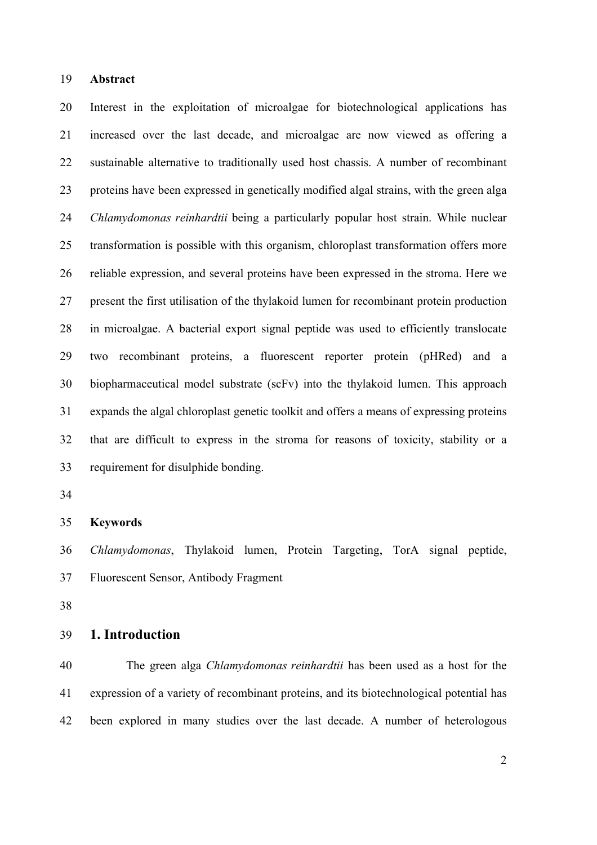#### **Abstract**

 Interest in the exploitation of microalgae for biotechnological applications has increased over the last decade, and microalgae are now viewed as offering a sustainable alternative to traditionally used host chassis. A number of recombinant proteins have been expressed in genetically modified algal strains, with the green alga *Chlamydomonas reinhardtii* being a particularly popular host strain. While nuclear transformation is possible with this organism, chloroplast transformation offers more reliable expression, and several proteins have been expressed in the stroma. Here we present the first utilisation of the thylakoid lumen for recombinant protein production in microalgae. A bacterial export signal peptide was used to efficiently translocate two recombinant proteins, a fluorescent reporter protein (pHRed) and a biopharmaceutical model substrate (scFv) into the thylakoid lumen. This approach expands the algal chloroplast genetic toolkit and offers a means of expressing proteins that are difficult to express in the stroma for reasons of toxicity, stability or a requirement for disulphide bonding.

#### **Keywords**

 *Chlamydomonas*, Thylakoid lumen, Protein Targeting, TorA signal peptide, Fluorescent Sensor, Antibody Fragment

#### **1. Introduction**

 The green alga *Chlamydomonas reinhardtii* has been used as a host for the expression of a variety of recombinant proteins, and its biotechnological potential has been explored in many studies over the last decade. A number of heterologous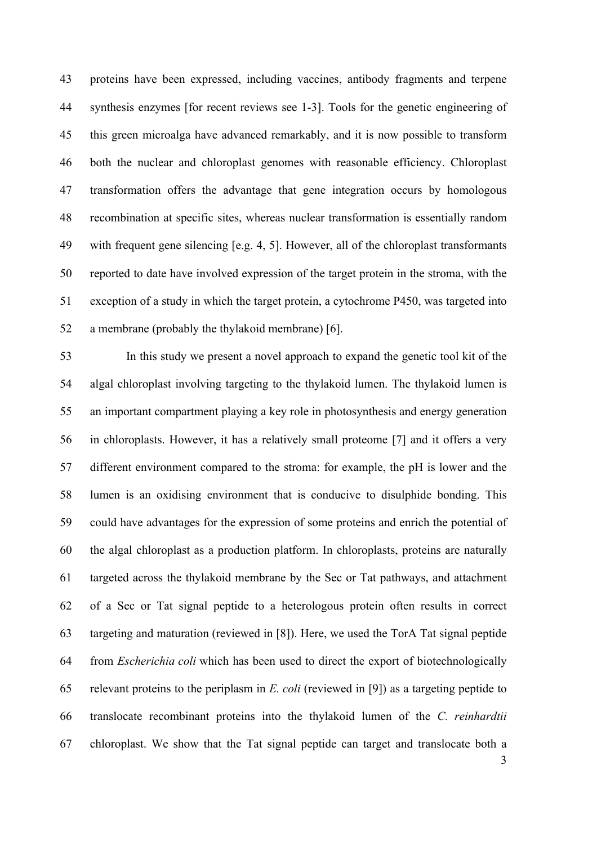proteins have been expressed, including vaccines, antibody fragments and terpene synthesis enzymes [for recent reviews see 1-3]. Tools for the genetic engineering of this green microalga have advanced remarkably, and it is now possible to transform both the nuclear and chloroplast genomes with reasonable efficiency. Chloroplast transformation offers the advantage that gene integration occurs by homologous recombination at specific sites, whereas nuclear transformation is essentially random with frequent gene silencing [e.g. 4, 5]. However, all of the chloroplast transformants reported to date have involved expression of the target protein in the stroma, with the exception of a study in which the target protein, a cytochrome P450, was targeted into a membrane (probably the thylakoid membrane) [6].

 In this study we present a novel approach to expand the genetic tool kit of the algal chloroplast involving targeting to the thylakoid lumen. The thylakoid lumen is an important compartment playing a key role in photosynthesis and energy generation in chloroplasts. However, it has a relatively small proteome [7] and it offers a very different environment compared to the stroma: for example, the pH is lower and the lumen is an oxidising environment that is conducive to disulphide bonding. This could have advantages for the expression of some proteins and enrich the potential of the algal chloroplast as a production platform. In chloroplasts, proteins are naturally targeted across the thylakoid membrane by the Sec or Tat pathways, and attachment of a Sec or Tat signal peptide to a heterologous protein often results in correct targeting and maturation (reviewed in [8]). Here, we used the TorA Tat signal peptide from *Escherichia coli* which has been used to direct the export of biotechnologically relevant proteins to the periplasm in *E. coli* (reviewed in [9]) as a targeting peptide to translocate recombinant proteins into the thylakoid lumen of the *C. reinhardtii* chloroplast. We show that the Tat signal peptide can target and translocate both a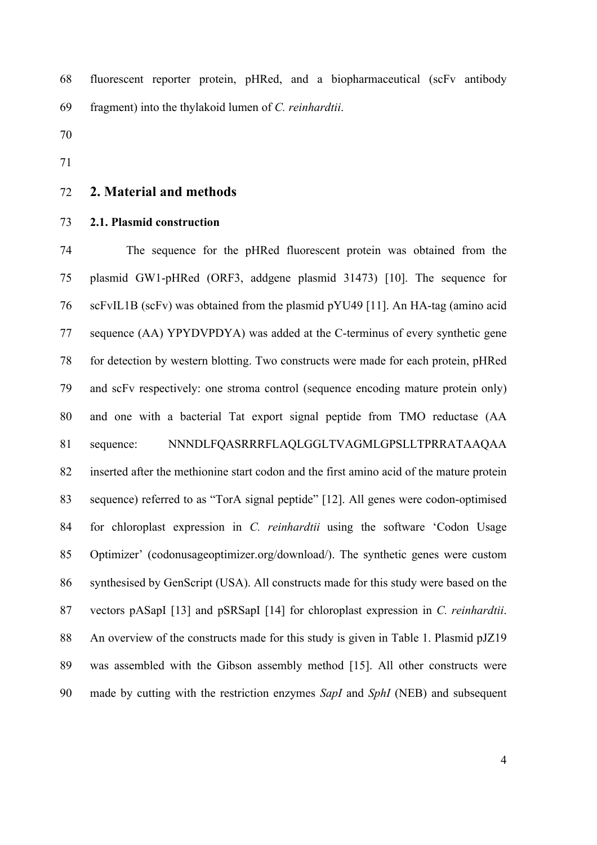fluorescent reporter protein, pHRed, and a biopharmaceutical (scFv antibody fragment) into the thylakoid lumen of *C. reinhardtii*.

- 
- 

#### **2. Material and methods**

#### **2.1. Plasmid construction**

 The sequence for the pHRed fluorescent protein was obtained from the plasmid GW1-pHRed (ORF3, addgene plasmid 31473) [10]. The sequence for scFvIL1B (scFv) was obtained from the plasmid pYU49 [11]. An HA-tag (amino acid sequence (AA) YPYDVPDYA) was added at the C-terminus of every synthetic gene for detection by western blotting. Two constructs were made for each protein, pHRed and scFv respectively: one stroma control (sequence encoding mature protein only) and one with a bacterial Tat export signal peptide from TMO reductase (AA sequence: NNNDLFQASRRRFLAQLGGLTVAGMLGPSLLTPRRATAAQAA inserted after the methionine start codon and the first amino acid of the mature protein sequence) referred to as "TorA signal peptide" [12]. All genes were codon-optimised for chloroplast expression in *C. reinhardtii* using the software 'Codon Usage Optimizer' (codonusageoptimizer.org/download/). The synthetic genes were custom synthesised by GenScript (USA). All constructs made for this study were based on the vectors pASapI [13] and pSRSapI [14] for chloroplast expression in *C. reinhardtii*. 88 An overview of the constructs made for this study is given in Table 1. Plasmid pJZ19 was assembled with the Gibson assembly method [15]. All other constructs were made by cutting with the restriction enzymes *SapI* and *SphI* (NEB) and subsequent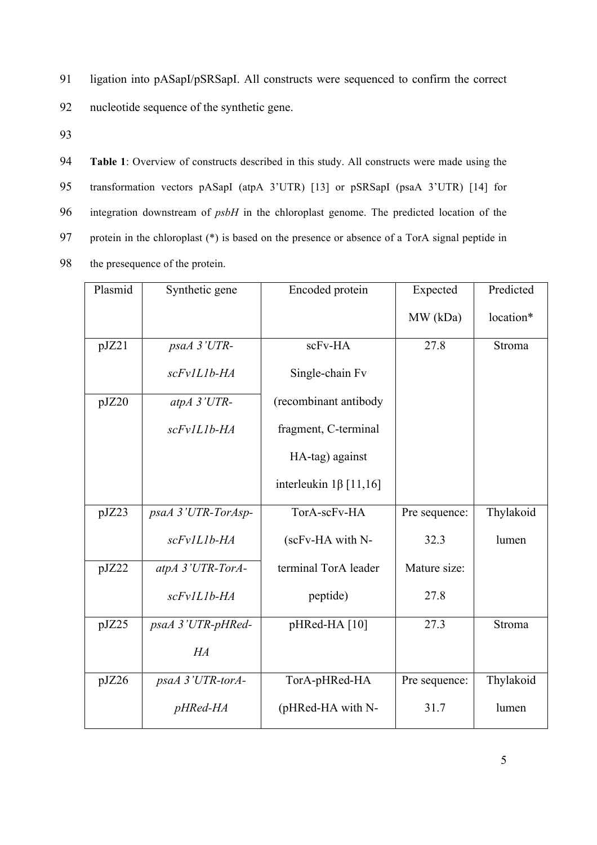91 ligation into pASapI/pSRSapI. All constructs were sequenced to confirm the correct

92 nucleotide sequence of the synthetic gene.

93

 **Table 1**: Overview of constructs described in this study. All constructs were made using the transformation vectors pASapI (atpA 3'UTR) [13] or pSRSapI (psaA 3'UTR) [14] for integration downstream of *psbH* in the chloroplast genome. The predicted location of the protein in the chloroplast (\*) is based on the presence or absence of a TorA signal peptide in the presequence of the protein.

| Plasmid | Synthetic gene     | Encoded protein              | Expected      | Predicted |
|---------|--------------------|------------------------------|---------------|-----------|
|         |                    |                              | MW (kDa)      | location* |
| pJZ21   | psaA 3'UTR-        | scFv-HA                      | 27.8          | Stroma    |
|         | scFvIL1b-HA        | Single-chain Fv              |               |           |
| pJZ20   | $atpA$ 3'UTR-      | (recombinant antibody        |               |           |
|         | scFv1L1b-HA        | fragment, C-terminal         |               |           |
|         |                    | HA-tag) against              |               |           |
|         |                    | interleukin $1\beta$ [11,16] |               |           |
| pJZ23   | psaA 3'UTR-TorAsp- | TorA-scFv-HA                 | Pre sequence: | Thylakoid |
|         | scFv1L1b-HA        | (scFv-HA with N-             | 32.3          | lumen     |
| pJZ22   | atpA 3'UTR-TorA-   | terminal TorA leader         | Mature size:  |           |
|         | scFv1L1b-HA        | peptide)                     | 27.8          |           |
| pJZ25   | psaA 3'UTR-pHRed-  | pHRed-HA [10]                | 27.3          | Stroma    |
|         | HA                 |                              |               |           |
| pJZ26   | psaA 3'UTR-torA-   | TorA-pHRed-HA                | Pre sequence: | Thylakoid |
|         | $pHRed-HA$         | (pHRed-HA with N-            | 31.7          | lumen     |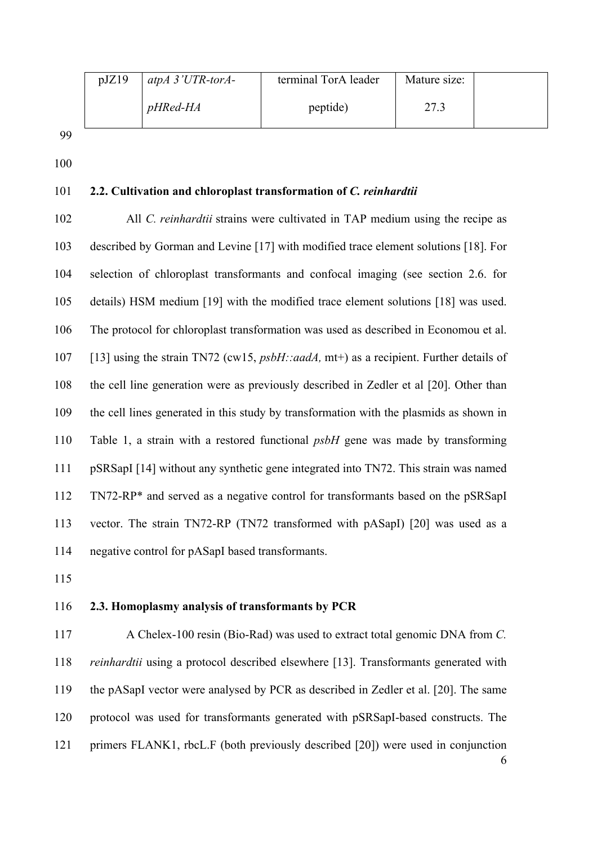| pJZ19 | atpA $3'UTR$ -torA- | terminal TorA leader | Mature size: |  |
|-------|---------------------|----------------------|--------------|--|
|       | <i>pHRed-HA</i>     | peptide)             | 27.3         |  |

99

100

#### 101 **2.2. Cultivation and chloroplast transformation of** *C. reinhardtii*

102 All *C. reinhardtii* strains were cultivated in TAP medium using the recipe as 103 described by Gorman and Levine [17] with modified trace element solutions [18]. For 104 selection of chloroplast transformants and confocal imaging (see section 2.6. for 105 details) HSM medium [19] with the modified trace element solutions [18] was used. 106 The protocol for chloroplast transformation was used as described in Economou et al. 107 [13] using the strain TN72 (cw15, *psbH::aadA,* mt+) as a recipient. Further details of 108 the cell line generation were as previously described in Zedler et al [20]. Other than 109 the cell lines generated in this study by transformation with the plasmids as shown in 110 Table 1, a strain with a restored functional *psbH* gene was made by transforming 111 pSRSapI [14] without any synthetic gene integrated into TN72. This strain was named 112 TN72-RP\* and served as a negative control for transformants based on the pSRSapI 113 vector. The strain TN72-RP (TN72 transformed with pASapI) [20] was used as a 114 negative control for pASapI based transformants.

115

#### 116 **2.3. Homoplasmy analysis of transformants by PCR**

6 117 A Chelex-100 resin (Bio-Rad) was used to extract total genomic DNA from *C.*  118 *reinhardtii* using a protocol described elsewhere [13]. Transformants generated with 119 the pASapI vector were analysed by PCR as described in Zedler et al. [20]. The same 120 protocol was used for transformants generated with pSRSapI-based constructs. The 121 primers FLANK1, rbcL.F (both previously described [20]) were used in conjunction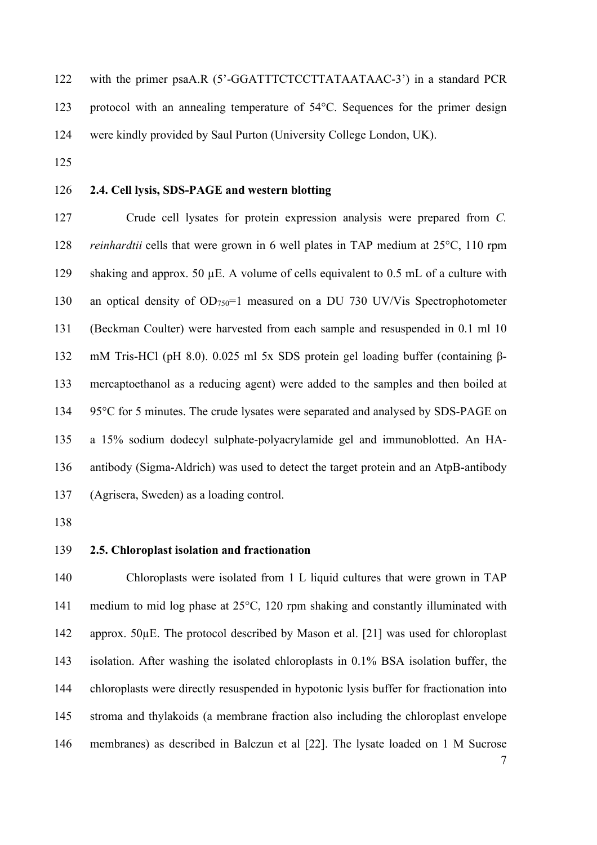| 122 | with the primer psaA.R (5'-GGATTTCTCCTTATAATAAC-3') in a standard PCR                     |
|-----|-------------------------------------------------------------------------------------------|
| 123 | protocol with an annealing temperature of $54^{\circ}$ C. Sequences for the primer design |
| 124 | were kindly provided by Saul Purton (University College London, UK).                      |

#### **2.4. Cell lysis, SDS-PAGE and western blotting**

 Crude cell lysates for protein expression analysis were prepared from *C. reinhardtii* cells that were grown in 6 well plates in TAP medium at 25°C, 110 rpm shaking and approx. 50 µE. A volume of cells equivalent to 0.5 mL of a culture with 130 an optical density of OD<sub>750</sub>=1 measured on a DU 730 UV/Vis Spectrophotometer (Beckman Coulter) were harvested from each sample and resuspended in 0.1 ml 10 mM Tris-HCl (pH 8.0). 0.025 ml 5x SDS protein gel loading buffer (containing β- mercaptoethanol as a reducing agent) were added to the samples and then boiled at 95°C for 5 minutes. The crude lysates were separated and analysed by SDS-PAGE on a 15% sodium dodecyl sulphate-polyacrylamide gel and immunoblotted. An HA- antibody (Sigma-Aldrich) was used to detect the target protein and an AtpB-antibody (Agrisera, Sweden) as a loading control.

#### **2.5. Chloroplast isolation and fractionation**

 Chloroplasts were isolated from 1 L liquid cultures that were grown in TAP medium to mid log phase at 25°C, 120 rpm shaking and constantly illuminated with approx. 50µE. The protocol described by Mason et al. [21] was used for chloroplast isolation. After washing the isolated chloroplasts in 0.1% BSA isolation buffer, the chloroplasts were directly resuspended in hypotonic lysis buffer for fractionation into stroma and thylakoids (a membrane fraction also including the chloroplast envelope membranes) as described in Balczun et al [22]. The lysate loaded on 1 M Sucrose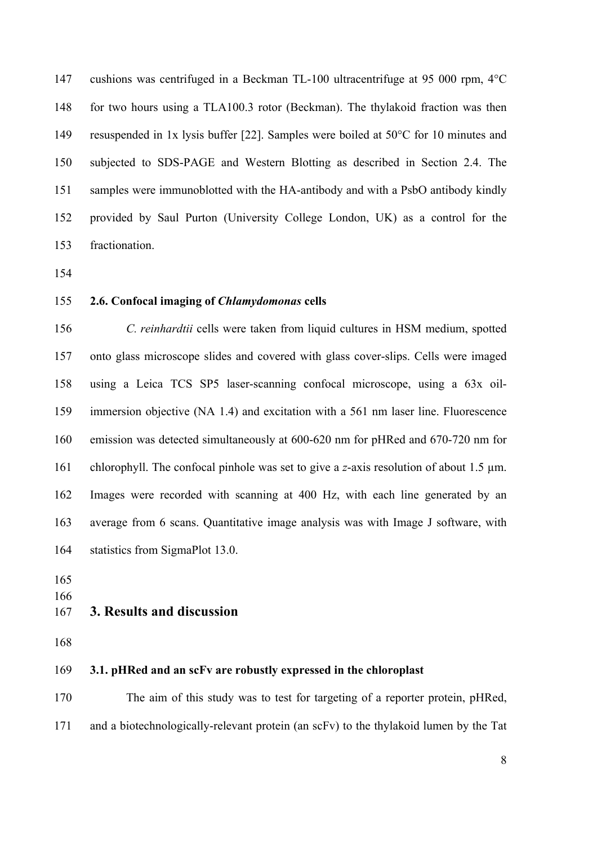cushions was centrifuged in a Beckman TL-100 ultracentrifuge at 95 000 rpm, 4°C for two hours using a TLA100.3 rotor (Beckman). The thylakoid fraction was then resuspended in 1x lysis buffer [22]. Samples were boiled at 50°C for 10 minutes and subjected to SDS-PAGE and Western Blotting as described in Section 2.4. The samples were immunoblotted with the HA-antibody and with a PsbO antibody kindly provided by Saul Purton (University College London, UK) as a control for the fractionation.

#### **2.6. Confocal imaging of** *Chlamydomonas* **cells**

 *C. reinhardtii* cells were taken from liquid cultures in HSM medium, spotted onto glass microscope slides and covered with glass cover-slips. Cells were imaged using a Leica TCS SP5 laser-scanning confocal microscope, using a 63x oil- immersion objective (NA 1.4) and excitation with a 561 nm laser line. Fluorescence emission was detected simultaneously at 600-620 nm for pHRed and 670-720 nm for chlorophyll. The confocal pinhole was set to give a *z*-axis resolution of about 1.5 µm. Images were recorded with scanning at 400 Hz, with each line generated by an average from 6 scans. Quantitative image analysis was with Image J software, with statistics from SigmaPlot 13.0.

- 
- 

#### **3. Results and discussion**

#### **3.1. pHRed and an scFv are robustly expressed in the chloroplast**

 The aim of this study was to test for targeting of a reporter protein, pHRed, and a biotechnologically-relevant protein (an scFv) to the thylakoid lumen by the Tat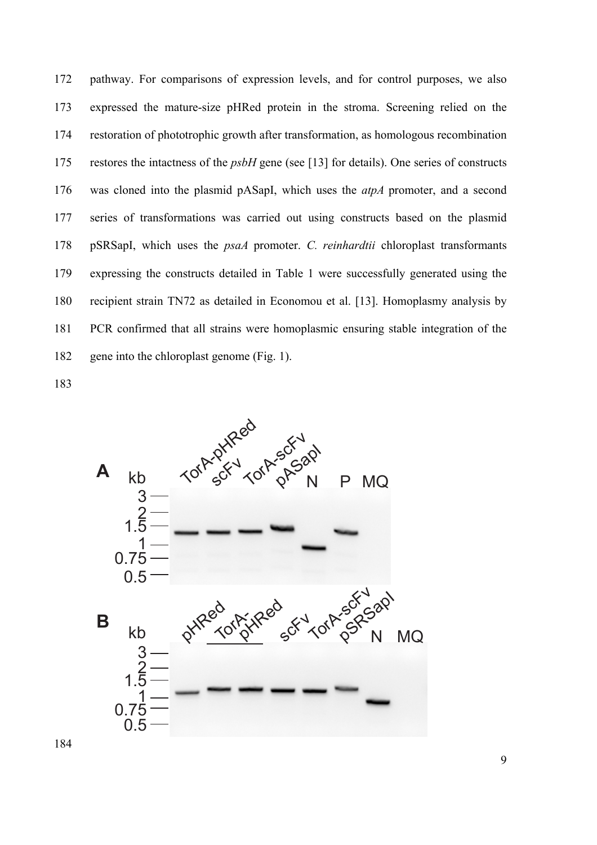pathway. For comparisons of expression levels, and for control purposes, we also expressed the mature-size pHRed protein in the stroma. Screening relied on the restoration of phototrophic growth after transformation, as homologous recombination restores the intactness of the *psbH* gene (see [13] for details). One series of constructs was cloned into the plasmid pASapI, which uses the *atpA* promoter, and a second series of transformations was carried out using constructs based on the plasmid pSRSapI, which uses the *psaA* promoter. *C. reinhardtii* chloroplast transformants expressing the constructs detailed in Table 1 were successfully generated using the recipient strain TN72 as detailed in Economou et al. [13]. Homoplasmy analysis by PCR confirmed that all strains were homoplasmic ensuring stable integration of the gene into the chloroplast genome (Fig. 1).

183

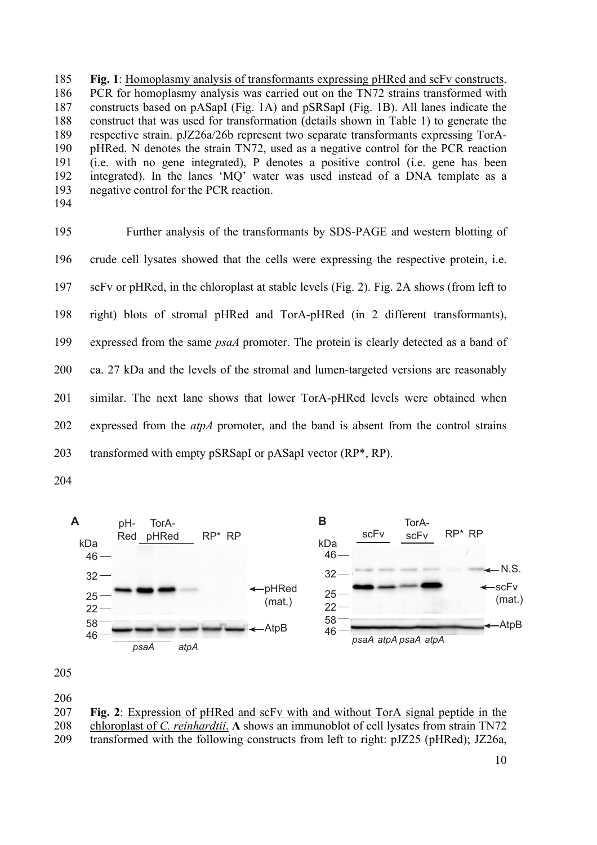185 **Fig. 1**: Homoplasmy analysis of transformants expressing pHRed and scFv constructs. 186 PCR for homoplasmy analysis was carried out on the TN72 strains transformed with 187 constructs based on pASapI (Fig. 1A) and pSRSapI (Fig. 1B). All lanes indicate the 188 construct that was used for transformation (details shown in Table 1) to generate the 189 respective strain. pJZ26a/26b represent two separate transformants expressing TorA-190 pHRed. N denotes the strain TN72, used as a negative control for the PCR reaction 191 (i.e. with no gene integrated), P denotes a positive control (i.e. gene has been 192 integrated). In the lanes 'MQ' water was used instead of a DNA template as a 193 negative control for the PCR reaction.

194

195 Further analysis of the transformants by SDS-PAGE and western blotting of 196 crude cell lysates showed that the cells were expressing the respective protein, i.e. 197 scFv or pHRed, in the chloroplast at stable levels (Fig. 2). Fig. 2A shows (from left to 198 right) blots of stromal pHRed and TorA-pHRed (in 2 different transformants), 199 expressed from the same *psaA* promoter. The protein is clearly detected as a band of 200 ca. 27 kDa and the levels of the stromal and lumen-targeted versions are reasonably 201 similar. The next lane shows that lower TorA-pHRed levels were obtained when 202 expressed from the *atpA* promoter, and the band is absent from the control strains 203 transformed with empty pSRSapI or pASapI vector (RP\*, RP).

204



205

206

207 **Fig. 2**: Expression of pHRed and scFv with and without TorA signal peptide in the 208 chloroplast of *C. reinhardtii*. **A** shows an immunoblot of cell lysates from strain TN72

209 transformed with the following constructs from left to right: pJZ25 (pHRed); JZ26a,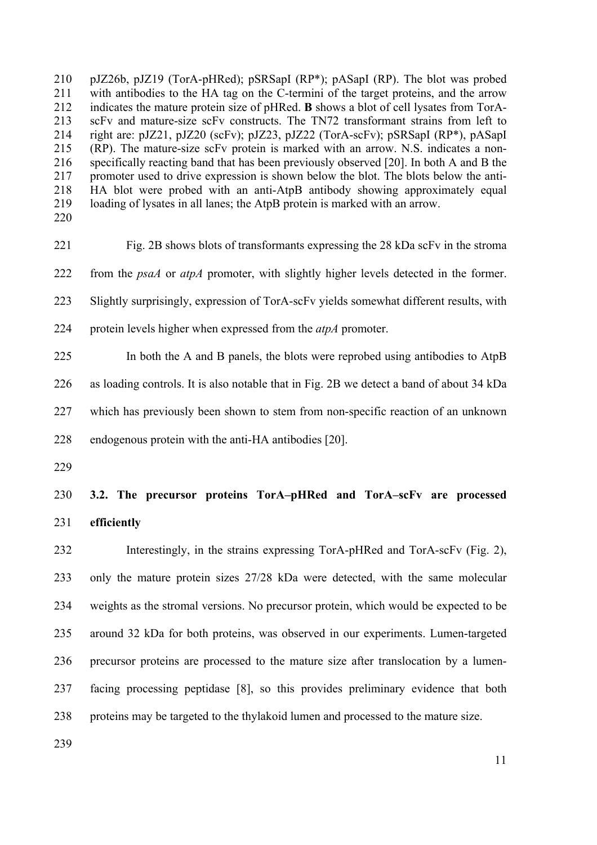pJZ26b, pJZ19 (TorA-pHRed); pSRSapI (RP\*); pASapI (RP). The blot was probed with antibodies to the HA tag on the C-termini of the target proteins, and the arrow indicates the mature protein size of pHRed. **B** shows a blot of cell lysates from TorA- scFv and mature-size scFv constructs. The TN72 transformant strains from left to right are: pJZ21, pJZ20 (scFv); pJZ23, pJZ22 (TorA-scFv); pSRSapI (RP\*), pASapI (RP). The mature-size scFv protein is marked with an arrow. N.S. indicates a non- specifically reacting band that has been previously observed [20]. In both A and B the 217 promoter used to drive expression is shown below the blot. The blots below the anti- HA blot were probed with an anti-AtpB antibody showing approximately equal loading of lysates in all lanes; the AtpB protein is marked with an arrow.

 Fig. 2B shows blots of transformants expressing the 28 kDa scFv in the stroma from the *psaA* or *atpA* promoter, with slightly higher levels detected in the former. Slightly surprisingly, expression of TorA-scFv yields somewhat different results, with protein levels higher when expressed from the *atpA* promoter.

 In both the A and B panels, the blots were reprobed using antibodies to AtpB as loading controls. It is also notable that in Fig. 2B we detect a band of about 34 kDa which has previously been shown to stem from non-specific reaction of an unknown endogenous protein with the anti-HA antibodies [20].

# **3.2. The precursor proteins TorA–pHRed and TorA–scFv are processed efficiently**

 Interestingly, in the strains expressing TorA-pHRed and TorA-scFv (Fig. 2), only the mature protein sizes 27/28 kDa were detected, with the same molecular weights as the stromal versions. No precursor protein, which would be expected to be around 32 kDa for both proteins, was observed in our experiments. Lumen-targeted precursor proteins are processed to the mature size after translocation by a lumen- facing processing peptidase [8], so this provides preliminary evidence that both proteins may be targeted to the thylakoid lumen and processed to the mature size.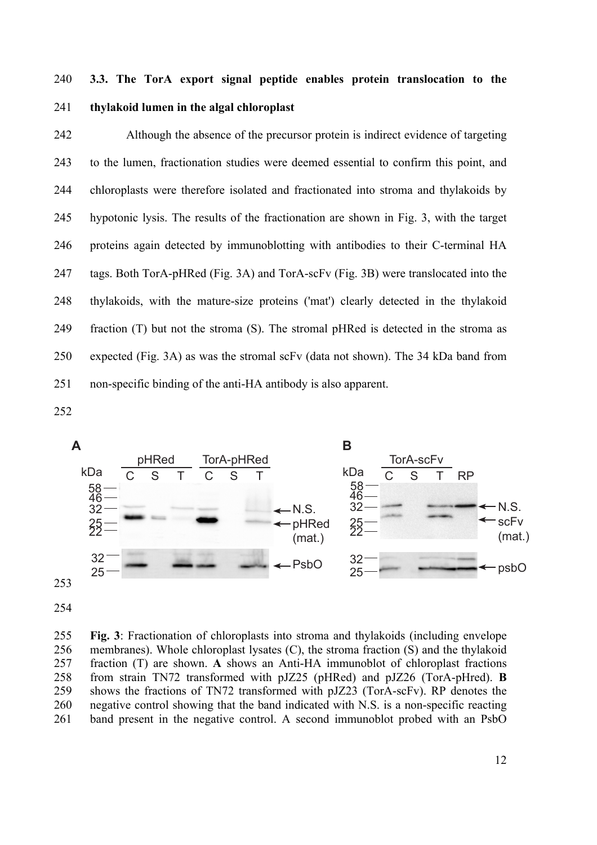# **3.3. The TorA export signal peptide enables protein translocation to the thylakoid lumen in the algal chloroplast**

 Although the absence of the precursor protein is indirect evidence of targeting to the lumen, fractionation studies were deemed essential to confirm this point, and chloroplasts were therefore isolated and fractionated into stroma and thylakoids by hypotonic lysis. The results of the fractionation are shown in Fig. 3, with the target proteins again detected by immunoblotting with antibodies to their C-terminal HA tags. Both TorA-pHRed (Fig. 3A) and TorA-scFv (Fig. 3B) were translocated into the thylakoids, with the mature-size proteins ('mat') clearly detected in the thylakoid fraction (T) but not the stroma (S). The stromal pHRed is detected in the stroma as expected (Fig. 3A) as was the stromal scFv (data not shown). The 34 kDa band from non-specific binding of the anti-HA antibody is also apparent.



 **Fig. 3**: Fractionation of chloroplasts into stroma and thylakoids (including envelope membranes). Whole chloroplast lysates (C), the stroma fraction (S) and the thylakoid fraction (T) are shown. **A** shows an Anti-HA immunoblot of chloroplast fractions from strain TN72 transformed with pJZ25 (pHRed) and pJZ26 (TorA-pHred). **B** shows the fractions of TN72 transformed with pJZ23 (TorA-scFv). RP denotes the negative control showing that the band indicated with N.S. is a non-specific reacting band present in the negative control. A second immunoblot probed with an PsbO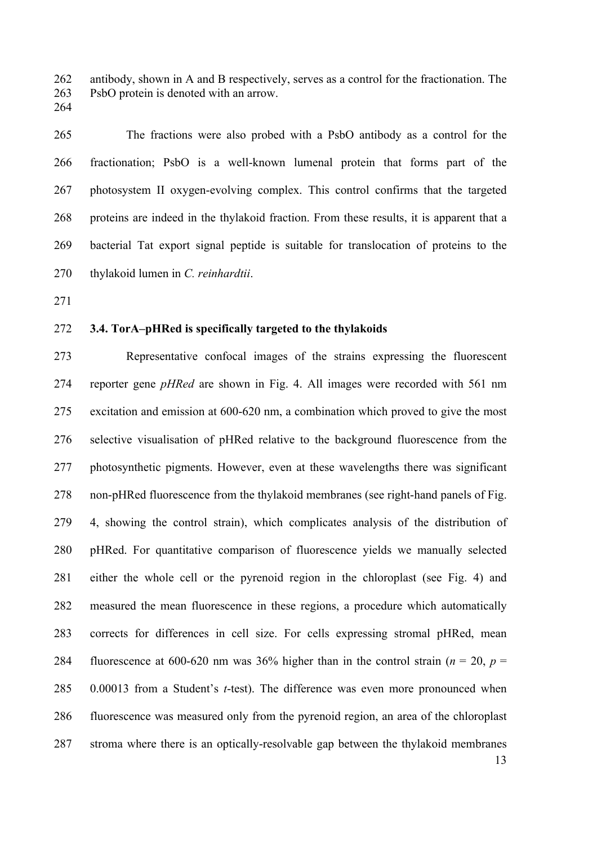antibody, shown in A and B respectively, serves as a control for the fractionation. The PsbO protein is denoted with an arrow.

The fractions were also probed with a PsbO antibody as a control for the

fractionation; PsbO is a well-known lumenal protein that forms part of the

photosystem II oxygen-evolving complex. This control confirms that the targeted

proteins are indeed in the thylakoid fraction. From these results, it is apparent that a

bacterial Tat export signal peptide is suitable for translocation of proteins to the

# **3.4. TorA–pHRed is specifically targeted to the thylakoids**

thylakoid lumen in *C. reinhardtii*.

 Representative confocal images of the strains expressing the fluorescent reporter gene *pHRed* are shown in Fig. 4. All images were recorded with 561 nm excitation and emission at 600-620 nm, a combination which proved to give the most selective visualisation of pHRed relative to the background fluorescence from the photosynthetic pigments. However, even at these wavelengths there was significant non-pHRed fluorescence from the thylakoid membranes (see right-hand panels of Fig. 4, showing the control strain), which complicates analysis of the distribution of pHRed. For quantitative comparison of fluorescence yields we manually selected either the whole cell or the pyrenoid region in the chloroplast (see Fig. 4) and measured the mean fluorescence in these regions, a procedure which automatically corrects for differences in cell size. For cells expressing stromal pHRed, mean 284 fluorescence at 600-620 nm was 36% higher than in the control strain  $(n = 20, p = 1)$  0.00013 from a Student's *t*-test). The difference was even more pronounced when fluorescence was measured only from the pyrenoid region, an area of the chloroplast stroma where there is an optically-resolvable gap between the thylakoid membranes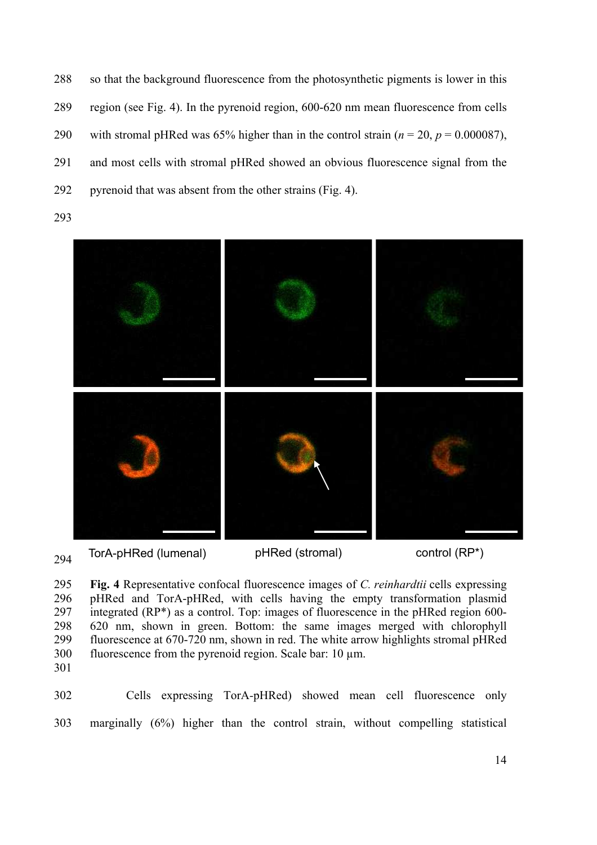so that the background fluorescence from the photosynthetic pigments is lower in this region (see Fig. 4). In the pyrenoid region, 600-620 nm mean fluorescence from cells 290 with stromal pHRed was 65% higher than in the control strain  $(n = 20, p = 0.000087)$ , and most cells with stromal pHRed showed an obvious fluorescence signal from the pyrenoid that was absent from the other strains (Fig. 4).



 TorA-pHRed (lumenal) pHRed (stromal) control (RP\*)

 **Fig. 4** Representative confocal fluorescence images of *C. reinhardtii* cells expressing pHRed and TorA-pHRed, with cells having the empty transformation plasmid 297 integrated  $(RP^*)$  as a control. Top: images of fluorescence in the pHRed region 600- 620 nm, shown in green. Bottom: the same images merged with chlorophyll fluorescence at 670-720 nm, shown in red. The white arrow highlights stromal pHRed fluorescence from the pyrenoid region. Scale bar: 10 µm.

 Cells expressing TorA*-*pHRed) showed mean cell fluorescence only marginally (6%) higher than the control strain, without compelling statistical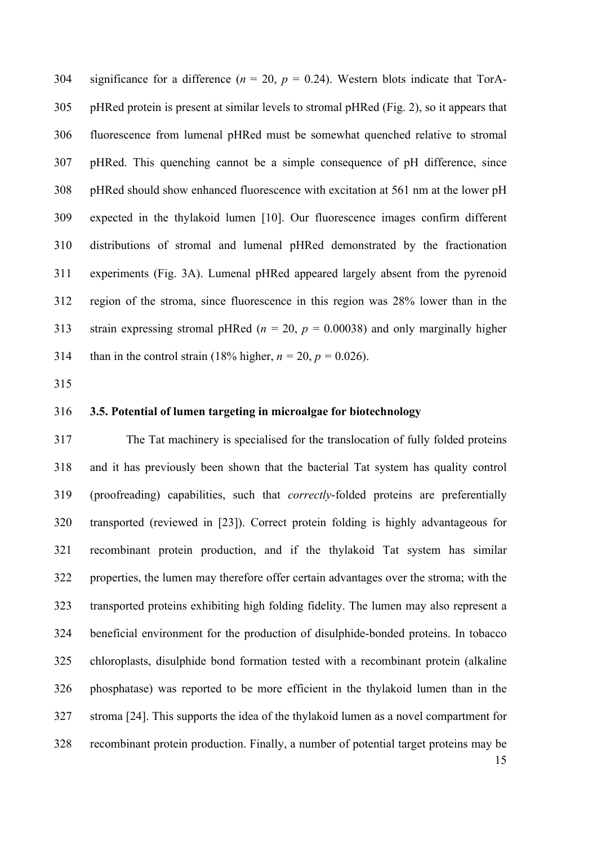304 significance for a difference  $(n = 20, p = 0.24)$ . Western blots indicate that TorA- pHRed protein is present at similar levels to stromal pHRed (Fig. 2), so it appears that fluorescence from lumenal pHRed must be somewhat quenched relative to stromal pHRed. This quenching cannot be a simple consequence of pH difference, since pHRed should show enhanced fluorescence with excitation at 561 nm at the lower pH expected in the thylakoid lumen [10]. Our fluorescence images confirm different distributions of stromal and lumenal pHRed demonstrated by the fractionation experiments (Fig. 3A). Lumenal pHRed appeared largely absent from the pyrenoid region of the stroma, since fluorescence in this region was 28% lower than in the strain expressing stromal pHRed (*n =* 20, *p =* 0.00038) and only marginally higher 314 than in the control strain (18% higher,  $n = 20$ ,  $p = 0.026$ ).

- 
- 

#### **3.5. Potential of lumen targeting in microalgae for biotechnology**

 The Tat machinery is specialised for the translocation of fully folded proteins and it has previously been shown that the bacterial Tat system has quality control (proofreading) capabilities, such that *correctly*-folded proteins are preferentially transported (reviewed in [23]). Correct protein folding is highly advantageous for recombinant protein production, and if the thylakoid Tat system has similar properties, the lumen may therefore offer certain advantages over the stroma; with the transported proteins exhibiting high folding fidelity. The lumen may also represent a beneficial environment for the production of disulphide-bonded proteins. In tobacco chloroplasts, disulphide bond formation tested with a recombinant protein (alkaline phosphatase) was reported to be more efficient in the thylakoid lumen than in the stroma [24]. This supports the idea of the thylakoid lumen as a novel compartment for recombinant protein production. Finally, a number of potential target proteins may be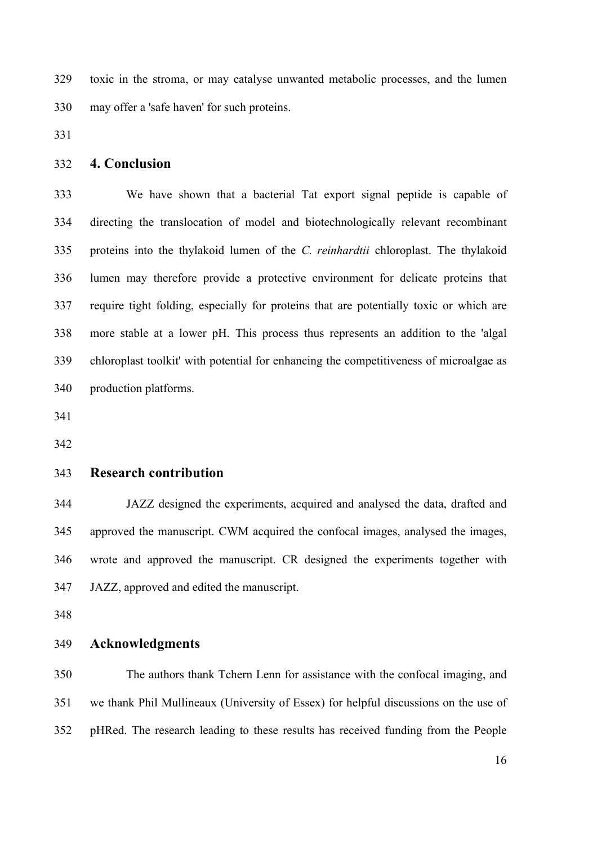toxic in the stroma, or may catalyse unwanted metabolic processes, and the lumen may offer a 'safe haven' for such proteins.

#### **4. Conclusion**

 We have shown that a bacterial Tat export signal peptide is capable of directing the translocation of model and biotechnologically relevant recombinant proteins into the thylakoid lumen of the *C. reinhardtii* chloroplast. The thylakoid lumen may therefore provide a protective environment for delicate proteins that require tight folding, especially for proteins that are potentially toxic or which are more stable at a lower pH. This process thus represents an addition to the 'algal chloroplast toolkit' with potential for enhancing the competitiveness of microalgae as production platforms.

#### **Research contribution**

 JAZZ designed the experiments, acquired and analysed the data, drafted and approved the manuscript. CWM acquired the confocal images, analysed the images, wrote and approved the manuscript. CR designed the experiments together with JAZZ, approved and edited the manuscript.

#### **Acknowledgments**

 The authors thank Tchern Lenn for assistance with the confocal imaging, and we thank Phil Mullineaux (University of Essex) for helpful discussions on the use of pHRed. The research leading to these results has received funding from the People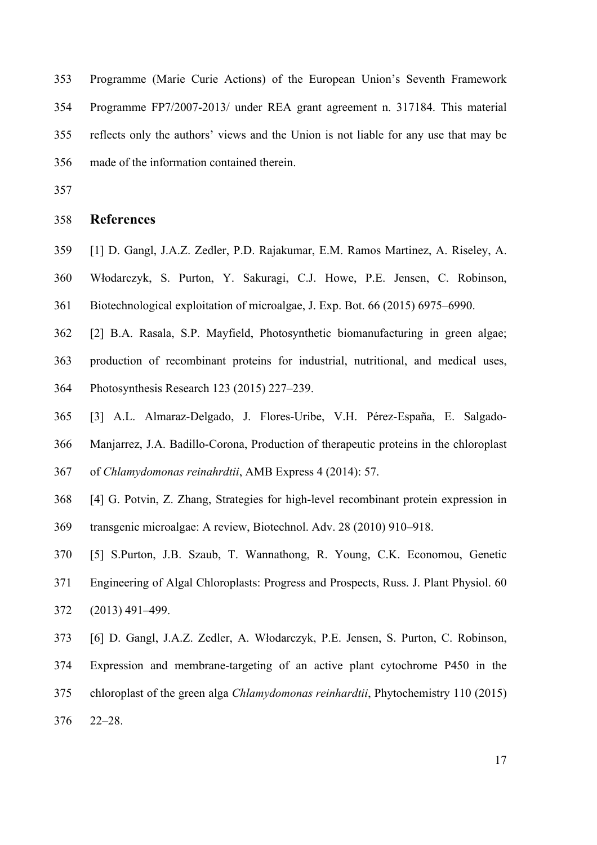Programme (Marie Curie Actions) of the European Union's Seventh Framework Programme FP7/2007-2013/ under REA grant agreement n. 317184. This material reflects only the authors' views and the Union is not liable for any use that may be made of the information contained therein.

#### **References**

- [1] D. Gangl, J.A.Z. Zedler, P.D. Rajakumar, E.M. Ramos Martinez, A. Riseley, A.
- Włodarczyk, S. Purton, Y. Sakuragi, C.J. Howe, P.E. Jensen, C. Robinson,
- Biotechnological exploitation of microalgae, J. Exp. Bot. 66 (2015) 6975–6990.
- [2] B.A. Rasala, S.P. Mayfield, Photosynthetic biomanufacturing in green algae;
- production of recombinant proteins for industrial, nutritional, and medical uses, Photosynthesis Research 123 (2015) 227–239.
- [3] A.L. Almaraz-Delgado, J. Flores-Uribe, V.H. Pérez-España, E. Salgado-
- Manjarrez, J.A. Badillo-Corona, Production of therapeutic proteins in the chloroplast
- of *Chlamydomonas reinahrdtii*, AMB Express 4 (2014): 57.
- [4] G. Potvin, Z. Zhang, Strategies for high-level recombinant protein expression in
- transgenic microalgae: A review, Biotechnol. Adv. 28 (2010) 910–918.
- [5] S.Purton, J.B. Szaub, T. Wannathong, R. Young, C.K. Economou, Genetic Engineering of Algal Chloroplasts: Progress and Prospects, Russ. J. Plant Physiol. 60 (2013) 491–499.
- [6] D. Gangl, J.A.Z. Zedler, A. Włodarczyk, P.E. Jensen, S. Purton, C. Robinson,
- Expression and membrane-targeting of an active plant cytochrome P450 in the
- chloroplast of the green alga *Chlamydomonas reinhardtii*, Phytochemistry 110 (2015)
- 22–28.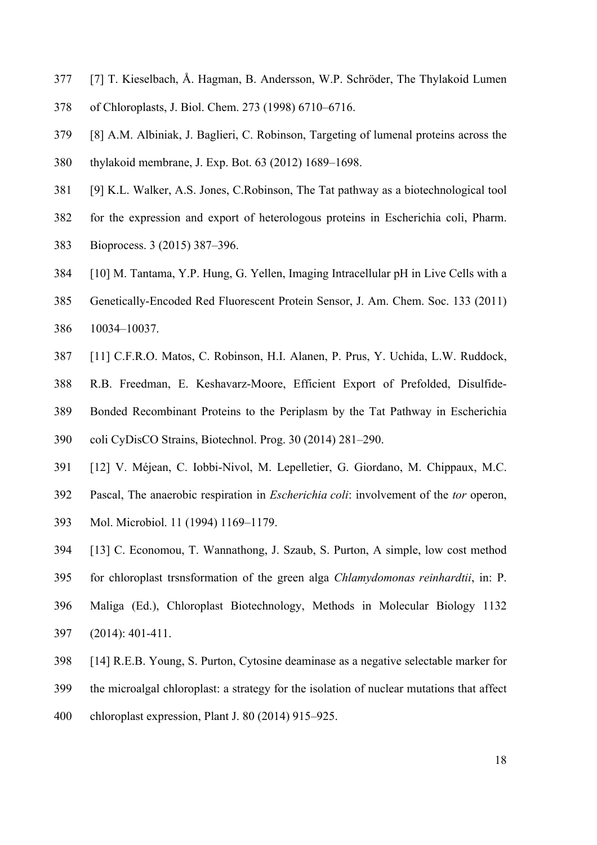- [7] T. Kieselbach, Å. Hagman, B. Andersson, W.P. Schröder, The Thylakoid Lumen
- of Chloroplasts, J. Biol. Chem. 273 (1998) 6710–6716.
- [8] A.M. Albiniak, J. Baglieri, C. Robinson, Targeting of lumenal proteins across the thylakoid membrane, J. Exp. Bot. 63 (2012) 1689–1698.
- [9] K.L. Walker, A.S. Jones, C.Robinson, The Tat pathway as a biotechnological tool
- for the expression and export of heterologous proteins in Escherichia coli, Pharm.
- Bioprocess. 3 (2015) 387–396.
- [10] M. Tantama, Y.P. Hung, G. Yellen, Imaging Intracellular pH in Live Cells with a
- Genetically-Encoded Red Fluorescent Protein Sensor, J. Am. Chem. Soc. 133 (2011) 10034–10037.
- [11] C.F.R.O. Matos, C. Robinson, H.I. Alanen, P. Prus, Y. Uchida, L.W. Ruddock,
- R.B. Freedman, E. Keshavarz-Moore, Efficient Export of Prefolded, Disulfide-
- Bonded Recombinant Proteins to the Periplasm by the Tat Pathway in Escherichia
- coli CyDisCO Strains, Biotechnol. Prog. 30 (2014) 281–290.
- [12] V. Méjean, C. Iobbi-Nivol, M. Lepelletier, G. Giordano, M. Chippaux, M.C.
- Pascal, The anaerobic respiration in *Escherichia coli*: involvement of the *tor* operon,
- Mol. Microbiol. 11 (1994) 1169–1179.
- [13] C. Economou, T. Wannathong, J. Szaub, S. Purton, A simple, low cost method
- for chloroplast trsnsformation of the green alga *Chlamydomonas reinhardtii*, in: P.
- Maliga (Ed.), Chloroplast Biotechnology, Methods in Molecular Biology 1132
- (2014): 401-411.
- [14] R.E.B. Young, S. Purton, Cytosine deaminase as a negative selectable marker for
- the microalgal chloroplast: a strategy for the isolation of nuclear mutations that affect
- chloroplast expression, Plant J. 80 (2014) 915–925.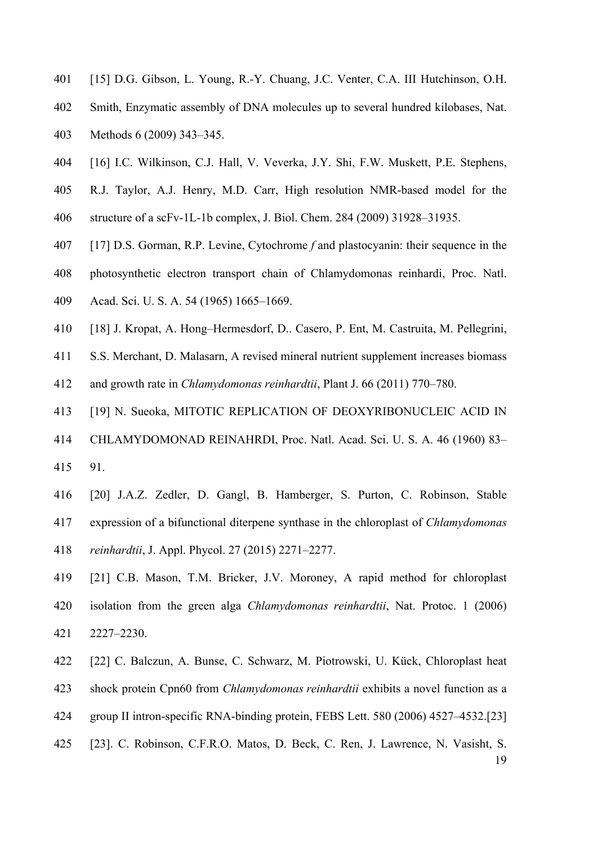- [15] D.G. Gibson, L. Young, R.-Y. Chuang, J.C. Venter, C.A. III Hutchinson, O.H.
- Smith, Enzymatic assembly of DNA molecules up to several hundred kilobases, Nat.

Methods 6 (2009) 343–345.

- [16] I.C. Wilkinson, C.J. Hall, V. Veverka, J.Y. Shi, F.W. Muskett, P.E. Stephens,
- R.J. Taylor, A.J. Henry, M.D. Carr, High resolution NMR-based model for the
- structure of a scFv-1L-1b complex, J. Biol. Chem. 284 (2009) 31928–31935.
- [17] D.S. Gorman, R.P. Levine, Cytochrome *f* and plastocyanin: their sequence in the
- photosynthetic electron transport chain of Chlamydomonas reinhardi, Proc. Natl.
- Acad. Sci. U. S. A. 54 (1965) 1665–1669.
- [18] J. Kropat, A. Hong–Hermesdorf, D.. Casero, P. Ent, M. Castruita, M. Pellegrini,
- S.S. Merchant, D. Malasarn, A revised mineral nutrient supplement increases biomass
- and growth rate in *Chlamydomonas reinhardtii*, Plant J. 66 (2011) 770–780.
- [19] N. Sueoka, MITOTIC REPLICATION OF DEOXYRIBONUCLEIC ACID IN
- CHLAMYDOMONAD REINAHRDI, Proc. Natl. Acad. Sci. U. S. A. 46 (1960) 83– 91.
- [20] J.A.Z. Zedler, D. Gangl, B. Hamberger, S. Purton, C. Robinson, Stable expression of a bifunctional diterpene synthase in the chloroplast of *Chlamydomonas reinhardtii*, J. Appl. Phycol. 27 (2015) 2271–2277.
- [21] C.B. Mason, T.M. Bricker, J.V. Moroney, A rapid method for chloroplast isolation from the green alga *Chlamydomonas reinhardtii*, Nat. Protoc. 1 (2006) 2227–2230.
- [22] C. Balczun, A. Bunse, C. Schwarz, M. Piotrowski, U. Kück, Chloroplast heat
- shock protein Cpn60 from *Chlamydomonas reinhardtii* exhibits a novel function as a
- group II intron-specific RNA-binding protein, FEBS Lett. 580 (2006) 4527–4532.[23]
- [23]. C. Robinson, C.F.R.O. Matos, D. Beck, C. Ren, J. Lawrence, N. Vasisht, S.